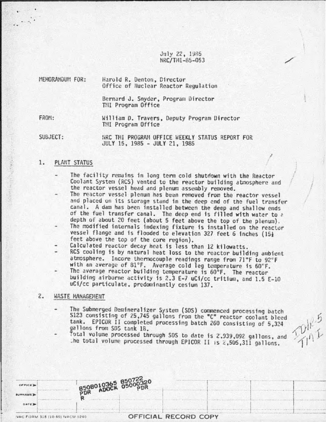July 22, 1985 NRC/TMI-85-053

| MEMORANDUM FOR: | Harold R. Denton, Director<br>Office of Nuclear Reactor Regulation |
|-----------------|--------------------------------------------------------------------|
|                 | Bernard J. Snyder, Program Director<br>TMI Program Office          |
| FROM:           | William D. Travers, Deputy Program Director<br>THI Program Office  |

SUBJECT: NRC THI PROGRAM OFFICE WEEKLY STATUS REPORT FOR JULY 15, 1985 - JULY 21, 1985

### 1. PLANT STATUS

·.

The facility remains in long term cold shutdown with the Reactor Coolant System (RCS) vented to the reactor building atmosphere and the reactor vessel head and plenum assembly removed.

I

I

- The reactor vessel plenum has been removed from the reactor vessel and placed on its storage stand in the deep end of the fuel transfer Conal. A dam has been installed between the deep and shallow ends of the fuel transfer canal. The deep end is filled with water to  $\alpha$  depth of about 20 feet (about 5 feet above the top of the plenum).
- The modified internals indexing fixture is installed on the reactor vessel flange and is flooded to elevation 327 feet 6 inches (151 feet above the top of the core region). Calculated redctor decay heat is less than 12 kilowatts.
- 
- RCS cooling is by natural heat loss to the reactor building ambient atmosphere. Incore thermocouple readings range from 71°F to 92°F with an average of 81°F. Average cold leg temperature is 60°F.
- The average reactor building temperature is 60°F. The reactor building airborne activity is 2.3 E-7 uCi/cc tritium, and 1.5 E-10 uCi/cc particulate, predominantly ces1um 137.

## 2. WASTE MANAGEMENT

- The Submerged Demineralizer System (SDS) commenced processing batch S123 consisting of 25,745 gallons from the "C" reactor coolant bleed tank. EPICOR II completed processing batch 260 consisting of 5,324 gallons from SDS tank 1B.
- Total volume processed through SDS to date is 2.939,092 gallons, and .he total volume processed through EPICOR II is 2.505,311 gallons.

| CFTCED<br><b>BURNAME</b> |                                | B508010365 85072220 |                      |  |  |
|--------------------------|--------------------------------|---------------------|----------------------|--|--|
| DATE D                   |                                |                     |                      |  |  |
|                          | NRC FORM 318 (10-80) NRCM 0240 |                     | OFFICIAL RECORD COPY |  |  |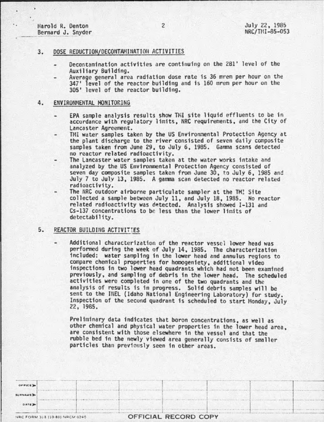Harold R. Denton Bernard J. Snyder

### 3. DOSE REDUCTION/DECONTAMINATION ACTIVITIES

- Decontamination activities are continuing on the 281' level of the
- Average general area radiation dose rate is 36 mrem per hour on the 347' level of the reactor building and is 160 mrem per hour on the 305' level of the reactor building.

#### 4. ENVIRONMENTAL MONITORING

- EPA sample analysis results show THI site liquid effluents to be 1n accordance with regulatory limits, NRC requirements, and the City of<br>Lancaster Agreement.
- TMI water samples taken by the US Environmental Protection Agency at the plant discharge to the river consisted of seven daily composite samples taken from June 29, to July 6, 1985. Gamma scans detected
- The Lancaster water samples taken at the water works intake and analyzed by the US Environmental Protection Agency consisted of seven day composite samples taken from June 30, to July 6, 1985 and July 7 to July 13, 1985. A gamma scan detected no reactor related radioactivity.
- The NRC outdoor airborne particulate sampler at the TM! Site collected a sample between July 11, and July 18, 1985. No reactor related radioactivity was detected. Analysis showed I-131 and Cs-137 concentrations to be less than the lower limits of detectability.

### 5. REACTOR BUILDING ACTIVITIES

Additional characterization of the reactor vessel lower head was performed during the week of July 14, 1985. The characterization included: water sampling in the lower head and annulus regions to compare chemical properties for homogeniety, additional video inspections in two lower head quadrants which had not been examined previously, and sampling of debris in the lower head. The scheduled activities were completed in one of the two quadrants and the analysis of results is in progress. Solid debris samples will be Inspection of the second quadrant is scheduled to start Monday, July 22, 1985.

Preliminary data indicates that boron concentrations, as well as other chemical and physical water properties in the lower head area, are consistent with those elsewhere 1n the vessel and that the rubble bed in the newly viewed area generally consists of smaller particles than previously seen in other areas.

| OFFICE >       |                                |                      |  |
|----------------|--------------------------------|----------------------|--|
| <b>SURNAME</b> |                                |                      |  |
| DATE D         |                                |                      |  |
|                | NRC FORM 318 (10-80) NRCM 0240 | OFFICIAL RECORD COPY |  |

2

and the state of  $\mathbb{R}^n$  . The state of  $\mathbb{R}^n$  is the state of  $\mathbb{R}^n$  and  $\mathbb{R}^n$  is the state of  $\mathbb{R}^n$  . Then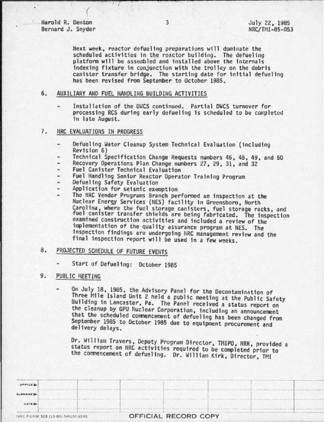Harold R. Denton Bernard J. Snyder

 $\left($ 

Next week, reactor defueling preparations will dominate the scheduled activities in the reactor building. The defueling platform will be assembled and installed above the internals indexing fixture in conjunction with the trolley on the debris canister transfer bridge. The starting date for initial defueltng has been revised from September to October 1985.

6. AUXILIARY AND FUEL HANDLING BUILDING ACTIVITIES

 $\cdot$  I

Installation of the DWCS continued. Partial DWCS turnover for processing RCS during early defueltng is scheduled to be completed in late August.

#### 7. NRC EVALUATIONS IN PROGRESS

- Defueling Water Cleanup System Technical Evaluation (including<br>Revision 6)
- Technical Specification Change Requests numbers 46, 48, 49, and 50 ٠
- Recovery Operations Plan Change numbers 27, 29, 31, and 32
- Fuel Canister Technical Evaluation  $\overline{\phantom{a}}$
- Fuel Handling Senior Reactor Operator Training Program<br>Defueling Safety Evaluation
- 
- Application for seismic exemption
- The NRC Vendor Programs Branch performed an inspection at the Nuclear Energy Services (liES) facflfty 1n Greensboro, North Carolina, where the fuel storage canisters, fuel storage racks, and<br>fuel canister transfer shields are being fabricated. The inspection examined construction activities and included a review of the implementation of the quality assurance program at NES. The inspection findings are undergoing NRC management review and the final inspection report will be used in a few weeks.

# 8. PROJECTED SCHEDULE OF FUTURE EVENTS

Start of Defueling: October 1985

#### 9. PUBLIC MEETING

On July 18, 1985, the Advisory Panel for the Decontamination of Three Mile Island Unit *2* held a public meeting at the Public Safety Building in Lancaster, Pa. The Panel received a status report on the cleanup by GPU Huclear Corporation, including an announcement that the scheduled commencement of defueling has been changed from September 1985 to October 1985 due to equipment procurement and del tvery delays.

Dr. William Travers, Deputy Program Director, TMIPO, NRR, provided a status report on NRC activities required to be completed prior to the commencement of defueling. Or. W1111am Kirk, Director, TMl

|                | NRC FORM 318 (10-80) NRCM 0240 |  | OFFICIAL RECORD COPY |  |  |
|----------------|--------------------------------|--|----------------------|--|--|
| <b>DATE</b>    |                                |  |                      |  |  |
| <b>BURNAME</b> |                                |  |                      |  |  |
| OFFICE D       |                                |  |                      |  |  |
|                |                                |  |                      |  |  |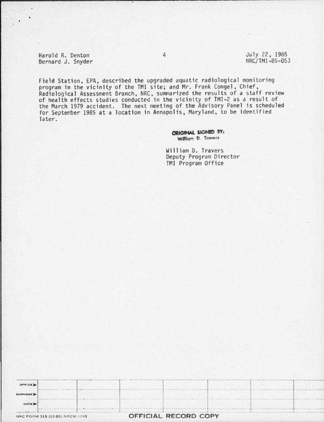Harold R. Denton Bernard J. Snyder July 22, 1985 NRC/TMI-85-053

Field Station, EPA, described the upgraded aquatic radiological monitoring program in the vicinity of the TMI site; and Mr. Frank Congel, Chief,<br>Radiological Assessment Branch, NRC, summarized the results of a staff review<br>of health effects studies conducted in the vicinity of TMI-2 as a result o the March 1979 accident. The next meeting of the Advisory Panel is scheduled for September 1985 at a location in Annapolis, Maryland, to be identified later.

> ORIGINAL SIGNED BY: William D. Travers

William D. Travers Deputy Program Director TMI Program Office

|                | NRC FORM 318 (10-80) NRCM 0240 |  | OFFICIAL RECORD COPY |  |  |
|----------------|--------------------------------|--|----------------------|--|--|
| DATE D         |                                |  |                      |  |  |
| <b>BURNAME</b> |                                |  |                      |  |  |
| OFFICE D       |                                |  |                      |  |  |

 $\overline{4}$